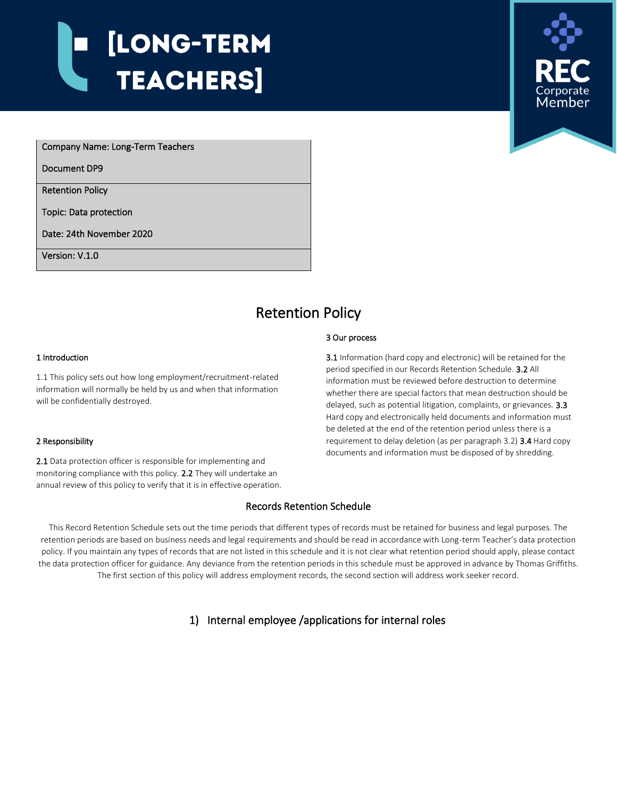# [LONG-TERM **TEACHERS**



Company Name: Long-Term Teachers

Document DP9

i<br>I

Retention Policy

Topic: Data protection

Date: 24th November 2020

Version: V.1.0

## Retention Policy

#### 3 Our process

1 Introduction

1.1 This policy sets out how long employment/recruitment-related information will normally be held by us and when that information will be confidentially destroyed.

#### 2 Responsibility

2.1 Data protection officer is responsible for implementing and monitoring compliance with this policy. 2.2 They will undertake an annual review of this policy to verify that it is in effective operation. 3.1 Information (hard copy and electronic) will be retained for the period specified in our Records Retention Schedule. 3.2 All information must be reviewed before destruction to determine whether there are special factors that mean destruction should be delayed, such as potential litigation, complaints, or grievances. 3.3 Hard copy and electronically held documents and information must be deleted at the end of the retention period unless there is a requirement to delay deletion (as per paragraph 3.2) 3.4 Hard copy documents and information must be disposed of by shredding.

#### Records Retention Schedule

This Record Retention Schedule sets out the time periods that different types of records must be retained for business and legal purposes. The retention periods are based on business needs and legal requirements and should be read in accordance with Long-term Teacher's data protection policy. If you maintain any types of records that are not listed in this schedule and it is not clear what retention period should apply, please contact the data protection officer for guidance. Any deviance from the retention periods in this schedule must be approved in advance by Thomas Griffiths. The first section of this policy will address employment records, the second section will address work seeker record.

1) Internal employee /applications for internal roles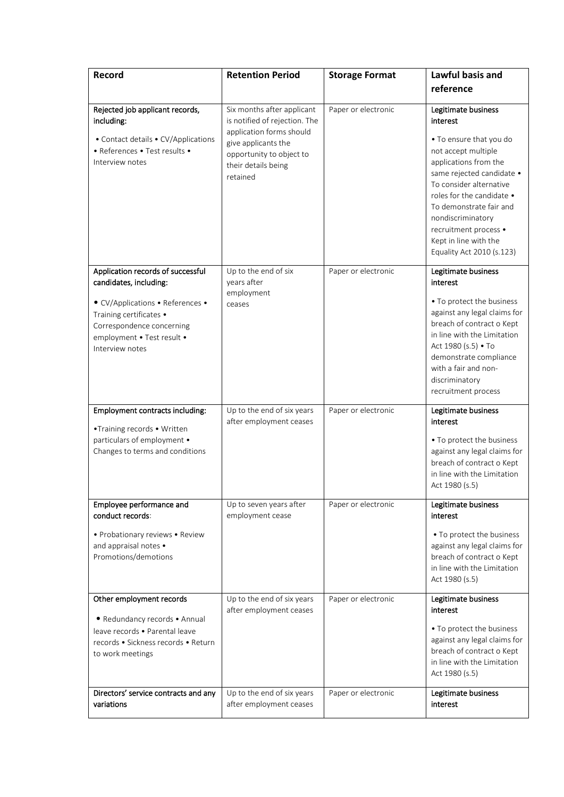| Record                                                                                                                                                                                                   | <b>Retention Period</b>                                                                                                                                                       | <b>Storage Format</b> | Lawful basis and<br>reference                                                                                                                                                                                                                                                                                                  |
|----------------------------------------------------------------------------------------------------------------------------------------------------------------------------------------------------------|-------------------------------------------------------------------------------------------------------------------------------------------------------------------------------|-----------------------|--------------------------------------------------------------------------------------------------------------------------------------------------------------------------------------------------------------------------------------------------------------------------------------------------------------------------------|
| Rejected job applicant records,<br>including:<br>• Contact details • CV/Applications<br>• References • Test results •<br>Interview notes                                                                 | Six months after applicant<br>is notified of rejection. The<br>application forms should<br>give applicants the<br>opportunity to object to<br>their details being<br>retained | Paper or electronic   | Legitimate business<br>interest<br>• To ensure that you do<br>not accept multiple<br>applications from the<br>same rejected candidate •<br>To consider alternative<br>roles for the candidate •<br>To demonstrate fair and<br>nondiscriminatory<br>recruitment process .<br>Kept in line with the<br>Equality Act 2010 (s.123) |
| Application records of successful<br>candidates, including:<br>• CV/Applications • References •<br>Training certificates •<br>Correspondence concerning<br>employment . Test result .<br>Interview notes | Up to the end of six<br>years after<br>employment<br>ceases                                                                                                                   | Paper or electronic   | Legitimate business<br>interest<br>• To protect the business<br>against any legal claims for<br>breach of contract o Kept<br>in line with the Limitation<br>Act 1980 (s.5) • To<br>demonstrate compliance<br>with a fair and non-<br>discriminatory<br>recruitment process                                                     |
| Employment contracts including:<br>•Training records • Written<br>particulars of employment .<br>Changes to terms and conditions                                                                         | Up to the end of six years<br>after employment ceases                                                                                                                         | Paper or electronic   | Legitimate business<br>interest<br>• To protect the business<br>against any legal claims for<br>breach of contract o Kept<br>in line with the Limitation<br>Act 1980 (s.5)                                                                                                                                                     |
| Employee performance and<br>conduct records:<br>• Probationary reviews • Review<br>and appraisal notes •<br>Promotions/demotions                                                                         | Up to seven years after<br>employment cease                                                                                                                                   | Paper or electronic   | Legitimate business<br>interest<br>• To protect the business<br>against any legal claims for<br>breach of contract o Kept<br>in line with the Limitation<br>Act 1980 (s.5)                                                                                                                                                     |
| Other employment records<br>· Redundancy records • Annual<br>leave records . Parental leave<br>records • Sickness records • Return<br>to work meetings                                                   | Up to the end of six years<br>after employment ceases                                                                                                                         | Paper or electronic   | Legitimate business<br>interest<br>• To protect the business<br>against any legal claims for<br>breach of contract o Kept<br>in line with the Limitation<br>Act 1980 (s.5)                                                                                                                                                     |
| Directors' service contracts and any<br>variations                                                                                                                                                       | Up to the end of six years<br>after employment ceases                                                                                                                         | Paper or electronic   | Legitimate business<br>interest                                                                                                                                                                                                                                                                                                |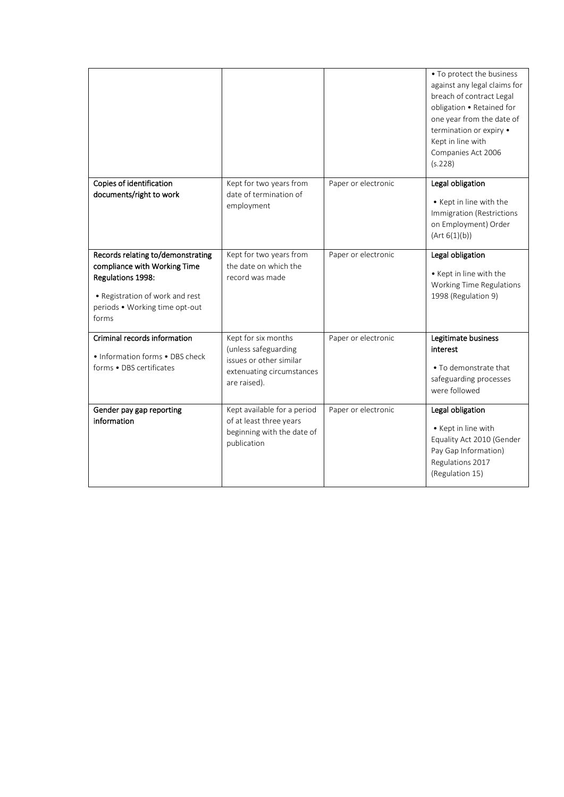|                                                                                                                                                                      |                                                                                                                     |                     | • To protect the business<br>against any legal claims for<br>breach of contract Legal<br>obligation . Retained for<br>one year from the date of<br>termination or expiry .<br>Kept in line with<br>Companies Act 2006<br>(s.228) |
|----------------------------------------------------------------------------------------------------------------------------------------------------------------------|---------------------------------------------------------------------------------------------------------------------|---------------------|----------------------------------------------------------------------------------------------------------------------------------------------------------------------------------------------------------------------------------|
| Copies of identification<br>documents/right to work                                                                                                                  | Kept for two years from<br>date of termination of<br>employment                                                     | Paper or electronic | Legal obligation<br>• Kept in line with the<br>Immigration (Restrictions<br>on Employment) Order<br>(Art 6(1)(b))                                                                                                                |
| Records relating to/demonstrating<br>compliance with Working Time<br>Regulations 1998:<br>• Registration of work and rest<br>periods . Working time opt-out<br>forms | Kept for two years from<br>the date on which the<br>record was made                                                 | Paper or electronic | Legal obligation<br>• Kept in line with the<br>Working Time Regulations<br>1998 (Regulation 9)                                                                                                                                   |
| Criminal records information<br>• Information forms • DBS check<br>forms . DBS certificates                                                                          | Kept for six months<br>(unless safeguarding<br>issues or other similar<br>extenuating circumstances<br>are raised). | Paper or electronic | Legitimate business<br>interest<br>• To demonstrate that<br>safeguarding processes<br>were followed                                                                                                                              |
| Gender pay gap reporting<br>information                                                                                                                              | Kept available for a period<br>of at least three years<br>beginning with the date of<br>publication                 | Paper or electronic | Legal obligation<br>• Kept in line with<br>Equality Act 2010 (Gender<br>Pay Gap Information)<br>Regulations 2017<br>(Regulation 15)                                                                                              |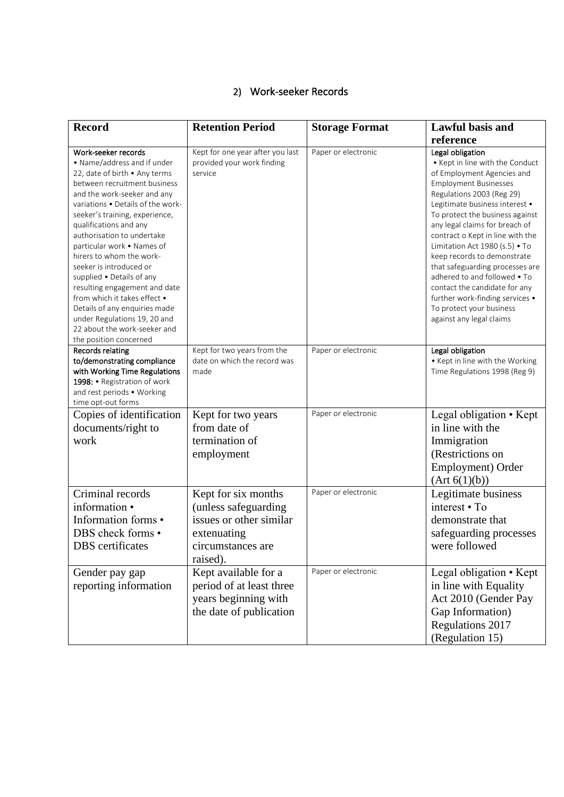## 2) Work-seeker Records

| <b>Record</b>                                                                                                                                                                                                                                                                                                                                                                                                                                                                                                                                                                                   | <b>Retention Period</b>                                                                                                | <b>Storage Format</b> | <b>Lawful basis and</b><br>reference                                                                                                                                                                                                                                                                                                                                                                                                                                                                                                                      |
|-------------------------------------------------------------------------------------------------------------------------------------------------------------------------------------------------------------------------------------------------------------------------------------------------------------------------------------------------------------------------------------------------------------------------------------------------------------------------------------------------------------------------------------------------------------------------------------------------|------------------------------------------------------------------------------------------------------------------------|-----------------------|-----------------------------------------------------------------------------------------------------------------------------------------------------------------------------------------------------------------------------------------------------------------------------------------------------------------------------------------------------------------------------------------------------------------------------------------------------------------------------------------------------------------------------------------------------------|
| Work-seeker records<br>• Name/address and if under<br>22, date of birth . Any terms<br>between recruitment business<br>and the work-seeker and any<br>variations . Details of the work-<br>seeker's training, experience,<br>qualifications and any<br>authorisation to undertake<br>particular work . Names of<br>hirers to whom the work-<br>seeker is introduced or<br>supplied . Details of any<br>resulting engagement and date<br>from which it takes effect •<br>Details of any enquiries made<br>under Regulations 19, 20 and<br>22 about the work-seeker and<br>the position concerned | Kept for one year after you last<br>provided your work finding<br>service                                              | Paper or electronic   | Legal obligation<br>• Kept in line with the Conduct<br>of Employment Agencies and<br><b>Employment Businesses</b><br>Regulations 2003 (Reg 29)<br>Legitimate business interest .<br>To protect the business against<br>any legal claims for breach of<br>contract o Kept in line with the<br>Limitation Act 1980 (s.5) . To<br>keep records to demonstrate<br>that safeguarding processes are<br>adhered to and followed • To<br>contact the candidate for any<br>further work-finding services .<br>To protect your business<br>against any legal claims |
| <b>Records relating</b><br>to/demonstrating compliance<br>with Working Time Regulations<br>1998: • Registration of work<br>and rest periods . Working<br>time opt-out forms                                                                                                                                                                                                                                                                                                                                                                                                                     | Kept for two years from the<br>date on which the record was<br>made                                                    | Paper or electronic   | Legal obligation<br>• Kept in line with the Working<br>Time Regulations 1998 (Reg 9)                                                                                                                                                                                                                                                                                                                                                                                                                                                                      |
| Copies of identification<br>documents/right to<br>work                                                                                                                                                                                                                                                                                                                                                                                                                                                                                                                                          | Kept for two years<br>from date of<br>termination of<br>employment                                                     | Paper or electronic   | Legal obligation • Kept<br>in line with the<br>Immigration<br>(Restrictions on<br>Employment) Order<br>(Art 6(1)(b))                                                                                                                                                                                                                                                                                                                                                                                                                                      |
| Criminal records<br>information •<br>Information forms •<br>DBS check forms .<br><b>DBS</b> certificates                                                                                                                                                                                                                                                                                                                                                                                                                                                                                        | Kept for six months<br>(unless safeguarding<br>issues or other similar<br>extenuating<br>circumstances are<br>raised). | Paper or electronic   | Legitimate business<br>interest • To<br>demonstrate that<br>safeguarding processes<br>were followed                                                                                                                                                                                                                                                                                                                                                                                                                                                       |
| Gender pay gap<br>reporting information                                                                                                                                                                                                                                                                                                                                                                                                                                                                                                                                                         | Kept available for a<br>period of at least three<br>years beginning with<br>the date of publication                    | Paper or electronic   | Legal obligation • Kept<br>in line with Equality<br>Act 2010 (Gender Pay<br>Gap Information)<br>Regulations 2017<br>(Regulation 15)                                                                                                                                                                                                                                                                                                                                                                                                                       |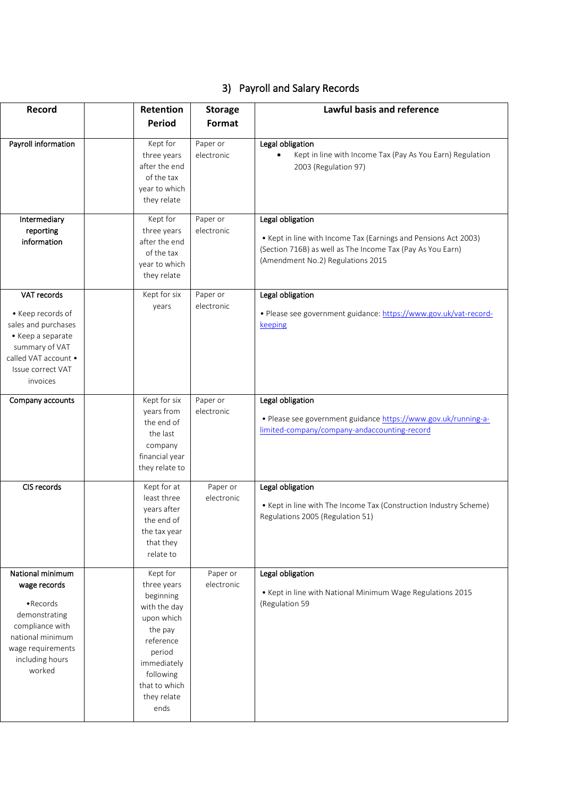### 3) Payroll and Salary Records

| Record                                                                                                                                                  | Retention                                                                                                                                               | <b>Storage</b>                                             | Lawful basis and reference                                                                                                                                                             |
|---------------------------------------------------------------------------------------------------------------------------------------------------------|---------------------------------------------------------------------------------------------------------------------------------------------------------|------------------------------------------------------------|----------------------------------------------------------------------------------------------------------------------------------------------------------------------------------------|
|                                                                                                                                                         | Period                                                                                                                                                  | Format                                                     |                                                                                                                                                                                        |
| Payroll information                                                                                                                                     | Kept for<br>three years<br>after the end<br>of the tax<br>they relate                                                                                   | Paper or<br>electronic<br>year to which                    | Legal obligation<br>Kept in line with Income Tax (Pay As You Earn) Regulation<br>2003 (Regulation 97)                                                                                  |
| Intermediary<br>reporting<br>information                                                                                                                | Kept for<br>three years<br>after the end<br>of the tax<br>they relate                                                                                   | Paper or<br>electronic<br>year to which                    | Legal obligation<br>• Kept in line with Income Tax (Earnings and Pensions Act 2003)<br>(Section 716B) as well as The Income Tax (Pay As You Earn)<br>(Amendment No.2) Regulations 2015 |
| VAT records<br>• Keep records of<br>sales and purchases<br>• Keep a separate<br>summary of VAT<br>called VAT account .<br>Issue correct VAT<br>invoices | Kept for six<br>years                                                                                                                                   | Paper or<br>electronic                                     | Legal obligation<br>· Please see government guidance: https://www.gov.uk/vat-record-<br>keeping                                                                                        |
| Company accounts                                                                                                                                        | Kept for six<br>years from<br>the end of<br>the last<br>company                                                                                         | Paper or<br>electronic<br>financial year<br>they relate to | Legal obligation<br>· Please see government guidance https://www.gov.uk/running-a-<br>limited-company/company-andaccounting-record                                                     |
| CIS records                                                                                                                                             | Kept for at<br>least three<br>years after<br>the end of<br>the tax year<br>that they<br>relate to                                                       | Paper or<br>electronic                                     | Legal obligation<br>• Kept in line with The Income Tax (Construction Industry Scheme)<br>Regulations 2005 (Regulation 51)                                                              |
| National minimum<br>wage records<br>• Records<br>demonstrating<br>compliance with<br>national minimum<br>wage requirements<br>including hours<br>worked | Kept for<br>three years<br>beginning<br>with the day<br>upon which<br>the pay<br>reference<br>period<br>immediately<br>following<br>they relate<br>ends | Paper or<br>electronic<br>that to which                    | Legal obligation<br>. Kept in line with National Minimum Wage Regulations 2015<br>(Regulation 59                                                                                       |